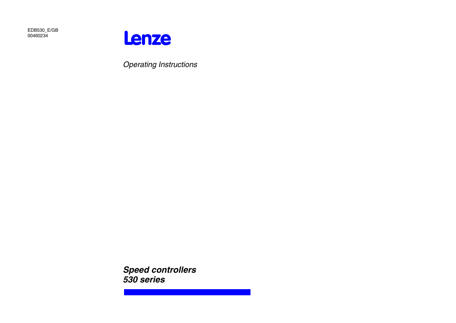EDB530\_E/GB 00460234



Operating Instructions

**Speed controllers 530 series**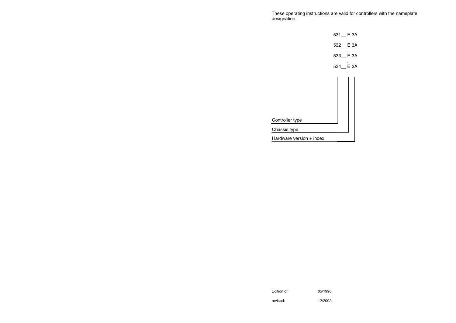These operating instructions are valid for controllers with the nameplate designation



Edition of: 05/1996

revised: 12/2002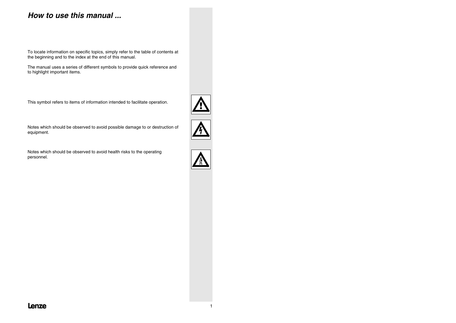# **How to use this manual ...**

To locate information on specific topics, simply refer to the table of contents at the beginning and to the index at the end of this manual.

The manual uses a series of different symbols to provide quick reference and to highlight important items.

This symbol refers to items of information intended to facilitate operation.

Notes which should be observed to avoid possible damage to or destruction of equipment.

Notes which should be observed to avoid health risks to the operating personnel.





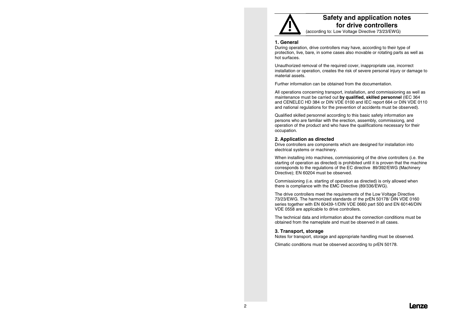

## **Safety and application notes for drive controllers**

(according to: Low Voltage Directive 73/23/EWG)

#### **1. General**

During operation, drive controllers may have, according to their type of protection, live, bare, in some cases also movable or rotating parts as well as hot surfaces.

Unauthorized removal of the required cover, inappropriate use, incorrect installation or operation, creates the risk of severe personal injury or damage to material assets.

Further information can be obtained from the documentation.

All operations concerning transport, installation, and commissioning as well as maintenance must be carried out **by qualified, skilled personnel** (IEC 364 and CENELEC HD 384 or DIN VDE 0100 and IEC report 664 or DIN VDE 0110 and national regulations for the prevention of accidents must be observed).

Qualified skilled personnel according to this basic safety information are persons who are familiar with the erection, assembly, commissiong, and operation of the product and who have the qualifications necessary for their occupation.

#### **2. Application as directed**

Drive controllers are components which are designed for installation into electrical systems or machinery.

When installing into machines, commissioning of the drive controllers (i.e. the starting of operation as directed) is prohibited until it is proven that the machine corresponds to the regulations of the EC directive 89/392/EWG (Machinery Directive); EN 60204 must be observed.

Commissioning (i.e. starting of operation as directed) is only allowed when there is compliance with the EMC Directive (89/336/EWG).

The drive controllers meet the requirements of the Low Voltage Directive 73/23/EWG. The harmonized standards of the prEN 50178/ DIN VDE 0160 series together with EN 60439-1/DIN VDE 0660 part 500 and EN 60146/DIN VDE 0558 are applicable to drive controllers.

The technical data and information about the connection conditions must beobtained from the nameplate and must be observed in all cases.

#### **3. Transport, storage**

Notes for transport, storage and appropriate handling must be observed.

Climatic conditions must be observed according to prEN 50178.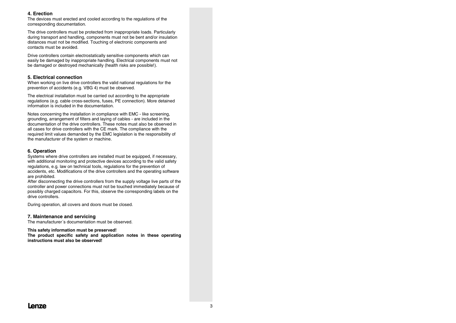#### **4. Erection**

The devices must erected and cooled according to the regulations of the corresponding documentation.

The drive controllers must be protected from inappropriate loads. Particularly during transport and handling, components must not be bent and/or insulation distances must not be modified. Touching of electronic components and contacts must be avoided.

Drive controllers contain electrostatically sensitive components which can easily be damaged by inappropriate handling. Electrical components must not be damaged or destroyed mechanically (health risks are possible!).

#### **5. Electrical connection**

When working on live drive controllers the valid national regulations for the prevention of accidents (e.g. VBG 4) must be observed.

The electrical installation must be carried out according to the appropriate regulations (e.g. cable cross-sections, fuses, PE connection). More detained information is included in the documentation.

Notes concerning the installation in compliance with EMC - like screening, grounding, arrangement of filters and laying of cables - are included in the documentation of the drive controllers. These notes must also be observed inall cases for drive controllers with the CE mark. The compliance with the required limit values demanded by the EMC legislation is the responsibility of the manufacturer of the system or machine.

#### **6. Operation**

Systems where drive controllers are installed must be equipped, if necessary, with additional monitoring and protective devices according to the valid safety regulations, e.g. law on technical tools, regulations for the prevention of accidents, etc. Modifications of the drive controllers and the operating software are prohibited.

After disconnecting the drive controllers from the supply voltage live parts of the controller and power connections must not be touched immediately because of possibly charged capacitors. For this, observe the corresponding labels on the drive controllers.

During operation, all covers and doors must be closed.

#### **7. Maintenance and servicing**

The manufacturer´s documentation must be observed.

#### **This safety information must be preserved!**

**The product specific safety and application notes in these operating instructions must also be observed!**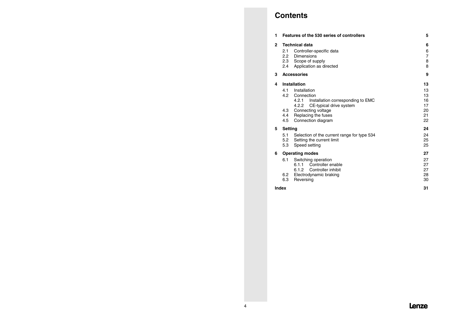# **Contents**

| 1                 |                                     | Features of the 530 series of controllers                                                                                                                                    | 5                                       |
|-------------------|-------------------------------------|------------------------------------------------------------------------------------------------------------------------------------------------------------------------------|-----------------------------------------|
| $\mathbf{2}$<br>3 | 2.1<br>2.2<br>2.4                   | <b>Technical data</b><br>Controller-specific data<br>Dimensions<br>2.3 Scope of supply<br>Application as directed<br><b>Accessories</b>                                      | 6<br>6<br>$\overline{7}$<br>8<br>8<br>9 |
| 4                 |                                     | Installation                                                                                                                                                                 | 13                                      |
|                   | 4.1<br>4.2<br>4.3<br>4.4<br>4.5     | Installation<br>Connection<br>Installation corresponding to EMC<br>4.2.1<br>4.2.2 CE-typical drive system<br>Connecting voltage<br>Replacing the fuses<br>Connection diagram | 13<br>13<br>16<br>17<br>20<br>21<br>22  |
| 5                 | <b>Setting</b><br>5.1<br>5.2<br>5.3 | Selection of the current range for type 534<br>Setting the current limit<br>Speed setting                                                                                    | 24<br>24<br>25<br>25                    |
| 6                 | 6.1<br>6.2<br>6.3                   | <b>Operating modes</b><br>Switching operation<br>6.1.1 Controller enable<br>6.1.2 Controller inhibit<br>Electrodynamic braking<br>Reversing                                  | 27<br>27<br>27<br>27<br>28<br>30        |
|                   | Index                               |                                                                                                                                                                              | 31                                      |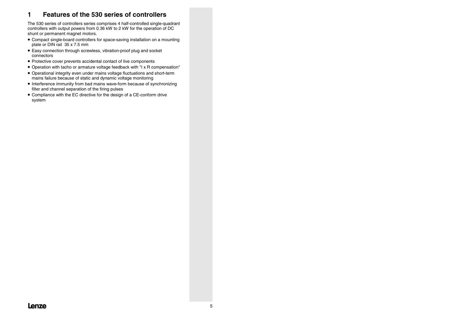## **1 Features of the 530 series of controllers**

The 530 series of controllers series comprises 4 half-controlled single-quadrant controllers with output powers from 0.36 kW to 2 kW for the operation of DC shunt or permanent magnet motors.

- Compact single-board controllers for space-saving installation on a mounting plate or DIN rail 35 x 7.5 mm
- Easy connection through screwless, vibration-proof plug and socket connectors
- Protective cover prevents accidental contact of live components
- Operation with tacho or armature voltage feedback with "I x R compensation"
- Operational integrity even under mains voltage fluctuations and short-term mains failure because of static and dynamic voltage monitoring
- Interference immunity from bad mains wave-form because of synchronizing filter and channel separation of the firing pulses
- Compliance with the EC directive for the design of a CE-conform drive system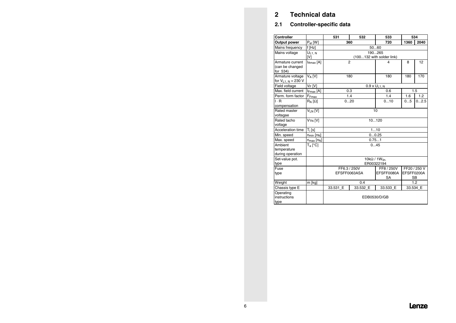# **2 Technical data**

## **2.1 Controller-specific data**

| Controller                        |                             | 531<br>533<br>534<br>532                |                           |                               |            |              |  |  |  |  |
|-----------------------------------|-----------------------------|-----------------------------------------|---------------------------|-------------------------------|------------|--------------|--|--|--|--|
| Output power                      | $P_{el}$ [W]                | 360                                     | 720                       | 1360                          | 2040       |              |  |  |  |  |
| Mains frequency                   | $f$ [Hz]                    |                                         |                           | 5060                          |            |              |  |  |  |  |
| Mains voltage                     | $U_{L1, N}$                 | 190265                                  |                           |                               |            |              |  |  |  |  |
|                                   | [V]                         |                                         | (100132 with solder link) |                               |            |              |  |  |  |  |
| Armature current                  | <b>IAmax</b> [A]            |                                         | $\overline{2}$            | 4                             | 8          | 12           |  |  |  |  |
| (can be changed<br>for 534)       |                             |                                         |                           |                               |            |              |  |  |  |  |
| Armature voltage                  | V <sub>A</sub> [V]          |                                         | 180                       | 180                           | 180        | 170          |  |  |  |  |
| for $V_{L1, N} = 230 V$           |                             |                                         |                           |                               |            |              |  |  |  |  |
| Field voltage                     | $V_F[V]$                    |                                         |                           | $\overline{0.9}$ x $U_{L1,N}$ |            |              |  |  |  |  |
| Max. field current                | $I_{Fmax}$ [A]              |                                         | 0.3                       | 0.6                           |            | 1.5          |  |  |  |  |
| Perm. form factor                 | F <sub>Fmax</sub>           |                                         | 1.4                       | 1.4                           | 1.6        | 1.2          |  |  |  |  |
| $I \cdot R$                       | $R_A[\Omega]$               |                                         | 020                       | 010                           | 05         | 02.5         |  |  |  |  |
| compensation                      |                             |                                         |                           |                               |            |              |  |  |  |  |
| Rated master                      | V <sub>LN</sub> [V]         |                                         |                           | 10                            |            |              |  |  |  |  |
| voltagae                          |                             |                                         |                           |                               |            |              |  |  |  |  |
| Rated tacho<br>voltage            | V <sub>TN</sub> [V]         |                                         |                           | 10120                         |            |              |  |  |  |  |
| Acceleration time                 | $T_i$ [s]                   |                                         |                           | 110                           |            |              |  |  |  |  |
| Min. speed                        | $n_{min}$ [ $n_{N}$ ]       |                                         |                           | 00.25                         |            |              |  |  |  |  |
| Max. speed                        | $n_{max}$ [n <sub>N</sub> ] |                                         |                           | 0.751                         |            |              |  |  |  |  |
| Ambient                           | $T_a$ [°C]                  |                                         |                           | 045                           |            |              |  |  |  |  |
| temperature                       |                             |                                         |                           |                               |            |              |  |  |  |  |
| during operation                  |                             |                                         |                           |                               |            |              |  |  |  |  |
| Set-value pot.                    |                             | $10k\Omega/1W$ lin                      |                           |                               |            |              |  |  |  |  |
| type                              |                             |                                         |                           | ER00322194                    |            |              |  |  |  |  |
| Fuse                              |                             |                                         | FF6.3 / 250V              | FF8 / 250V                    |            | FF20 / 250 V |  |  |  |  |
| type                              |                             | EFSFF0080A<br>EFSFF0063ASA<br><b>SA</b> |                           |                               | EFSFF0200A | <b>SB</b>    |  |  |  |  |
| Weight                            | m [kg]                      | 1.2<br>0.4                              |                           |                               |            |              |  |  |  |  |
| Chassis type E                    |                             | 33.531 E                                | 33.532 E                  | 33.533 E                      |            | 33.534 E     |  |  |  |  |
| Operating<br>instructions<br>type |                             | EDB0530/D/GB                            |                           |                               |            |              |  |  |  |  |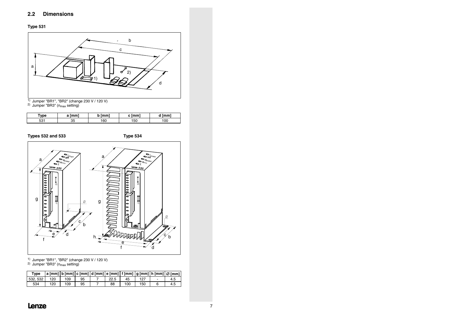



<sup>2)</sup> Jumper "BR3" (n<sub>max</sub> setting)

| 'vne        | mm | mm | mm | mm' |
|-------------|----|----|----|-----|
| $-0.7$<br>. | ں  | 60 | 50 | 00  |

**Types 532 and 533 Type 534**



1) Jumper "BR1", "BR2" (change 230 V / 120 V)

<sup>2)</sup> Jumper "BR3" (n<sub>max</sub> setting)

| Type     |     |     |    |      |     |     | . a [mm]   b [mm]   c [mm]   d [mm]   e [mm]   f [mm]   g [mm]   h [mm]   Ø [mm] ' |
|----------|-----|-----|----|------|-----|-----|------------------------------------------------------------------------------------|
| 532, 532 | 120 | 109 | 95 | 22.5 | 45  | 127 | 4.5                                                                                |
| 534      | 120 | 109 | 95 | 88   | 100 | 150 | 4.5                                                                                |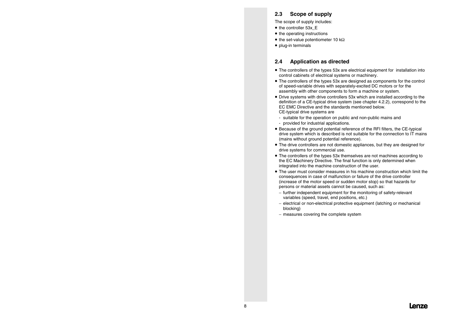### **2.3 Scope of supply**

The scope of supply includes:

- the controller 53x\_E
- the operating instructions
- $\bullet$  the set-value potentiometer 10 k $\Omega$
- plug-in terminals

### **2.4 Application as directed**

- The controllers of the types 53x are electrical equipment for installation into control cabinets of electrical systems or machinery.
- The controllers of the types 53x are designed as components for the control of speed-variable drives with separately-excited DC motors or for the assembly with other components to form a machine or system.
- Drive systems with drive controllers 53x which are installed according to the definition of a CE-typical drive system (see chapter 4.2.2), correspond to the EC EMC Directive and the standards mentioned below.CE-typical drive systems are
	- suitable for the operation on public and non-public mains and
	- provided for industrial applications.
- Because of the ground potential reference of the RFI filters, the CE-typical drive system which is described is not suitable for the connection to IT mains (mains without ground potential reference).
- The drive controllers are not domestic appliances, but they are designed for drive systems for commercial use.
- The controllers of the types 53x themselves are not machines according to the EC Machinery Directive. The final function is only determined when integrated into the machine construction of the user.
- The user must consider measures in his machine construction which limit theconsequences in case of malfunction or failure of the drive controller (increase of the motor speed or sudden motor stop) so that hazards for persons or material assets cannot be caused, such as:
	- − further independent equipment for the monitoring of safety-relevant variables (speed, travel, end positions, etc.)
	- − electrical or non-electrical protective equipment (latching or mechanical blocking)
	- − measures covering the complete system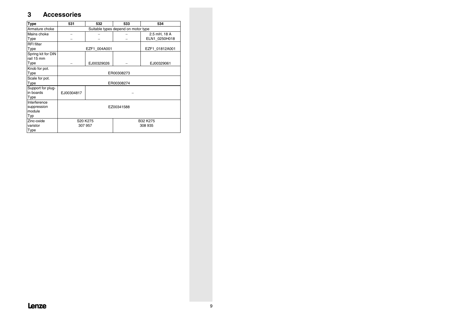## **3 Accessories**

| <b>Type</b>            | 531                             | 532           | 533                                 | 534            |  |  |  |
|------------------------|---------------------------------|---------------|-------------------------------------|----------------|--|--|--|
| Armature choke         |                                 |               | Suitable types depend on motor type |                |  |  |  |
| Mains choke            |                                 |               |                                     | 2.5 mH, 18 A   |  |  |  |
| Type                   |                                 | ELN1 0250H018 |                                     |                |  |  |  |
| <b>RFI</b> filter      |                                 |               |                                     |                |  |  |  |
| Type                   |                                 | EZF1 004A001  |                                     | EZF1 01812A001 |  |  |  |
| Spring kit for DIN     |                                 |               |                                     |                |  |  |  |
| rail 15 mm             |                                 |               |                                     |                |  |  |  |
| Type                   |                                 | EJ00329026    |                                     | EJ00329061     |  |  |  |
| Knob for pot.          |                                 |               |                                     |                |  |  |  |
| Type                   |                                 | ER00308273    |                                     |                |  |  |  |
| Scale for pot.         |                                 |               |                                     |                |  |  |  |
| Type                   |                                 |               | ER00308274                          |                |  |  |  |
| Support for plug-      |                                 |               |                                     |                |  |  |  |
| in boards              | EJ00304817                      |               |                                     |                |  |  |  |
| Type                   |                                 |               |                                     |                |  |  |  |
| Interference           |                                 |               |                                     |                |  |  |  |
| suppression<br>module  | EZ00341588                      |               |                                     |                |  |  |  |
|                        |                                 |               |                                     |                |  |  |  |
| Typ                    |                                 |               |                                     |                |  |  |  |
| Zinc-oxide<br>varistor | S20 K275<br>B32 K275<br>307 957 |               |                                     |                |  |  |  |
|                        |                                 |               |                                     | 308 935        |  |  |  |
| Type                   |                                 |               |                                     |                |  |  |  |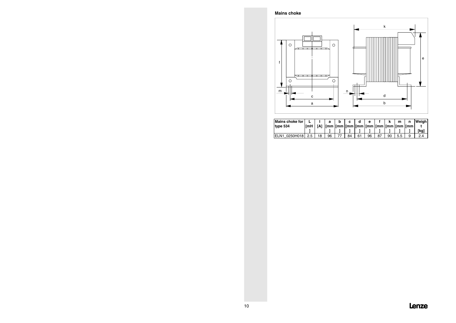**Mains choke**



| Mains choke for              |            |            | a  | c  |    | A  |    |    | m   | n | Weiahl |
|------------------------------|------------|------------|----|----|----|----|----|----|-----|---|--------|
| type 534                     | <b>ImH</b> | <b>TA1</b> |    |    |    |    |    |    |     |   |        |
|                              |            |            |    |    |    |    |    |    |     |   | [kg]   |
| ELN <sub>1</sub><br>0250H018 | 2.5        | 18         | 96 | 84 | 61 | 96 | 87 | 90 | 5.5 | 9 | 24     |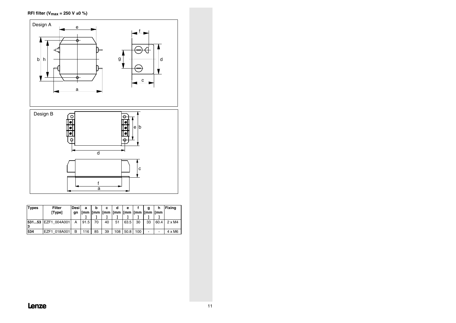**RFI filter (Vmax = 250 V ±0 %)**



| <b>Types</b> | <b>Filter</b><br>[Type] | Desi<br>qn | а    | b  | с  | d<br>[mm  [mm  [mm  [mm  [mm  [mm  [mm  [mm | е    |     |                | h                        | <b>Fixing</b> |
|--------------|-------------------------|------------|------|----|----|---------------------------------------------|------|-----|----------------|--------------------------|---------------|
| 3            | 53153 EZF1 004A001      | A          | 91.5 | 70 | 40 | 51                                          | 63.5 | 30  | 33             | 60.4                     | $2 \times M4$ |
| 534          | EZF1 018A001            | в          | 116  | 85 | 39 | 108                                         | 50.8 | 100 | $\overline{a}$ | $\overline{\phantom{0}}$ | $4 \times M6$ |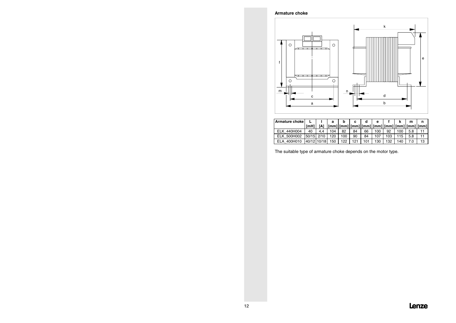#### **Armature choke**



| Armature choke |            |             | а   |     | c   |     | е   |     |     | m   | n  |
|----------------|------------|-------------|-----|-----|-----|-----|-----|-----|-----|-----|----|
|                | [mH]       |             |     |     |     |     |     |     |     |     |    |
| ELK 440H004    | 40         | 4.4         | 104 | 82  | 84  | 66  | 100 | 92  | 100 | 5.8 |    |
| ELK 500H002    | 50/15 2/10 |             | 120 | 100 | 90  | 84  | 107 | 103 | 115 | 5.8 |    |
| 400H010<br>ELA |            | 40/12 10/18 | 150 | 122 | 121 | 101 | 130 | 132 | 140 |     | 13 |

The suitable type of armature choke depends on the motor type.

## **Lenze**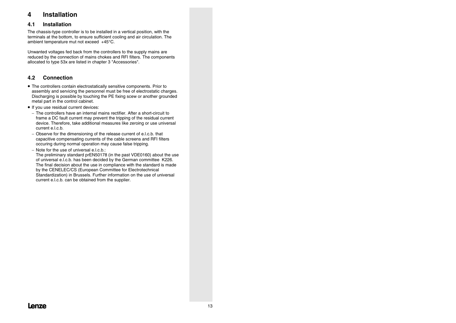## **4 Installation**

### **4.1 Installation**

The chassis-type controller is to be installed in a vertical position, with the terminals at the bottom, to ensure sufficient cooling and air circulation. The ambient temperature mut not exceed +45°C.

Unwanted voltages fed back from the controllers to the supply mains are reduced by the connection of mains chokes and RFI filters. The components allocated to type 53x are listed in chapter 3 "Accessories".

## **4.2 Connection**

- The controllers contain electrostatically sensitive components. Prior to assembly and servicing the personnel must be free of electrostatic charges. Discharging is possible by touching the PE fixing scew or another grounded metal part in the control cabinet.
- If you use residual current devices:
	- − The controllers have an internal mains rectifier. After a short-circuit toframe a DC fault current may prevent the tripping of the residual current device. Therefore, take additional measures like zeroing or use universal current e.l.c.b.
	- − Observe for the dimensioning of the release current of e.l.c.b. that capacitive compensating currents of the cable screens and RFI filters occuring during normal operation may cause false tripping.
	- − Note for the use of universal e.l.c.b.: The preliminary standard prEN50178 (in the past VDE0160) about the use of universal e.l.c.b. has been decided by the German committee K226. The final decision about the use in compliance with the standard is made by the CENELEC/CS (European Committee for Electrotechnical Standardization) in Brussels. Further information on the use of universal current e.l.c.b. can be obtained from the supplier.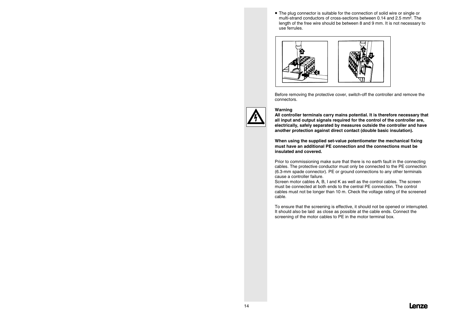• The plug connector is suitable for the connection of solid wire or single or multi-strand conductors of cross-sections between 0.14 and 2.5 mm². Thelength of the free wire should be between 8 and 9 mm. It is not necessary to use ferrules.



Before removing the protective cover, switch-off the controller and remove the connectors.



#### **Warning**

**All controller terminals carry mains potential. It is therefore necessary that all input and output signals required for the control of the controller are, electrically, safely separated by measures outside the controller and have another protection against direct contact (double basic insulation).**

**When using the supplied set-value potentiometer the mechanical fixing must have an additional PE connection and the connections must beinsulated and covered.**

Prior to commissioning make sure that there is no earth fault in the connecting cables. The protective conductor must only be connected to the PE connection (6.3-mm spade connector). PE or ground connections to any other terminals cause a controller failure.

Screen motor cables A, B, I and K as well as the control cables. The screen must be connected at both ends to the central PE connection. The controlcables must not be longer than 10 m. Check the voltage rating of the screened cable.

To ensure that the screening is effective, it should not be opened or interrupted. It should also be laid as close as possible at the cable ends. Connect the screening of the motor cables to PE in the motor terminal box.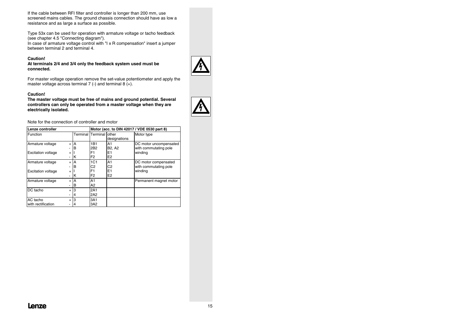If the cable between RFI filter and controller is longer than 200 mm, use screened mains cables. The ground chassis connection should have as low a resistance and as large a surface as possible.

Type 53x can be used for operation with armature voltage or tacho feedback (see chapter 4.5 "Connecting diagram").

In case of armature voltage control with "I x R compensation" insert a jumper between terminal 2 and terminal 4.

#### **Caution!**

**At terminals 2/4 and 3/4 only the feedback system used must be connected.**

For master voltage operation remove the set-value potentiometer and apply the master voltage across terminal  $7$  (-) and terminal  $8$  (+).

#### **Caution!**

**The master voltage must be free of mains and ground potential. Several controllers can only be operated from a master voltage when they are electrically isolated.**



| Lenze controller                              |                             |              | Motor (acc. to DIN 42017 / VDE 0530 part 8)    |                                                                           |                                                            |  |  |  |
|-----------------------------------------------|-----------------------------|--------------|------------------------------------------------|---------------------------------------------------------------------------|------------------------------------------------------------|--|--|--|
| Function                                      |                             | Terminal     | Terminal other                                 | designations                                                              | Motor type                                                 |  |  |  |
| Armature voltage<br><b>Excitation voltage</b> | $\ddot{}$<br>$\ddot{}$<br>۰ | А<br>в<br>ΙK | 1B1<br>2B <sub>2</sub><br>F1<br>F <sub>2</sub> | A1<br>B <sub>2</sub> , A <sub>2</sub><br>E <sub>1</sub><br>E <sub>2</sub> | DC motor uncompensated<br>with commutating pole<br>winding |  |  |  |
| Armature voltage<br><b>Excitation voltage</b> | $\ddot{}$<br>$\ddot{}$      | A<br>B<br>ΙK | 1C1<br>C2<br>F1<br>F <sub>2</sub>              | A1<br>C <sub>2</sub><br>E <sub>1</sub><br>E <sub>2</sub>                  | DC motor compensated<br>with commutating pole<br>winding   |  |  |  |
| Armature voltage                              | $\ddot{}$                   | A<br>в       | A1<br>A <sub>2</sub>                           |                                                                           | Permanent magnet motor                                     |  |  |  |
| DC tacho                                      | $\ddot{}$                   | 4            | 2A1<br>2A2                                     |                                                                           |                                                            |  |  |  |
| AC tacho<br>with rectification                | $\ddot{}$                   | 3<br>4       | 3A1<br>3A2                                     |                                                                           |                                                            |  |  |  |

Note for the connection of controller and motor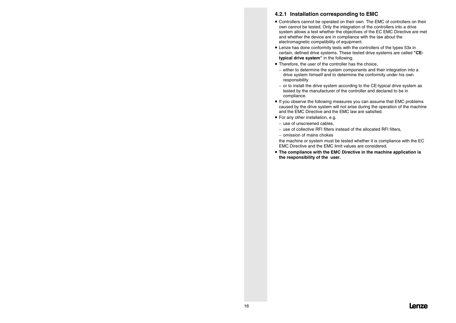### **4.2.1 Installation corresponding to EMC**

- Controllers cannot be operated on their own. The EMC of controllers on their own cannot be tested. Only the integration of the controllers into a drive system allows a test whether the objectives of the EC EMC Directive are met and whether the device are in compliance with the law about the electromagnetic compatibility of equipment.
- Lenze has done conformity tests with the controllers of the types 53x in certain, defined drive systems. These tested drive systems are called **"CEtypical drive system"** in the following.
- Therefore, the user of the controller has the choice,
	- − either to determine the system components and their integration into a drive system himself and to determine the conformity under his own responsibility
	- − or to install the drive system according to the CE-typical drive system as tested by the manufacturer of the controller and declared to be in compliance.
- If you observe the following measures you can assume that EMC problems caused by the drive system will not arise during the operation of the machine and the EMC Directive and the EMC law are satisfied.
- For any other installation, e.g.
	- − use of unscreened cables,
	- − use of collective RFI filters instead of the allocated RFI filters,
	- − omission of mains chokes

the machine or system must be tested whether it is compliance with the EC EMC Directive and the EMC limit values are considered.

• **The compliance with the EMC Directive in the machine application is the responsibility of the user.**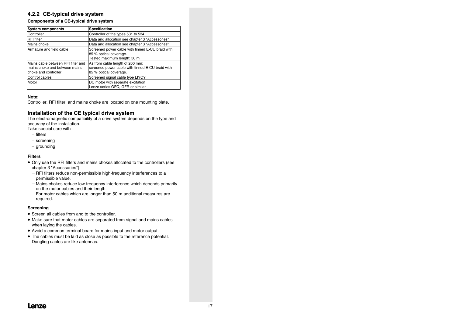### **4.2.2 CE-typical drive system**

#### **Components of a CE-typical drive system**

| <b>System components</b>                                                                    | <b>Specification</b>                                                                                          |
|---------------------------------------------------------------------------------------------|---------------------------------------------------------------------------------------------------------------|
| Controller                                                                                  | Controller of the types 531 to 534                                                                            |
| <b>RFI</b> filter                                                                           | Data and allocation see chapter 3 "Accessories"                                                               |
| Mains choke                                                                                 | Data and allocation see chapter 3 "Accessories"                                                               |
| Armature and field cable                                                                    | Screened power cable with tinned E-CU braid with<br>85 % optical coverage.<br>Tested maximum length: 50 m     |
| Mains cable between RFI filter and<br>mains choke and between mains<br>choke and controller | As from cable length of 200 mm:<br>screened power cable with tinned E-CU braid with<br>85 % optical coverage. |
| Control cables                                                                              | Screened signal cable type LIYCY                                                                              |
| Motor                                                                                       | DC motor with separate excitation<br>Lenze series GFQ, GFR or similar                                         |

#### **Note:**

Controller, RFI filter, and mains choke are located on one mounting plate.

#### **Installation of the CE typical drive system**

The electromagnetic compatibility of a drive system depends on the type and accuracy of the installation.

Take special care with

- − filters
- − screening
- − grounding

#### **Filters**

- Only use the RFI filters and mains chokes allocated to the controllers (see chapter 3 "Accessories").
	- − RFI filters reduce non-permissible high-frequency interferences to a permissible value.
	- − Mains chokes reduce low-frequency interference which depends primarily on the motor cables and their length. For motor cables which are longer than 50 m additional measures are required.

#### **Screening**

- Screen all cables from and to the controller.
- Make sure that motor cables are separated from signal and mains cables when laying the cables.
- Avoid a common terminal board for mains input and motor output.
- The cables must be laid as close as possible to the reference potential. Dangling cables are like antennas.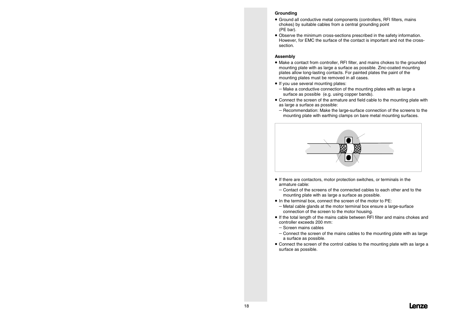#### **Grounding**

- Ground all conductive metal components (controllers, RFI filters, mains chokes) by suitable cables from a central grounding point (PE bar).
- Observe the minimum cross-sections prescribed in the safety information. However, for EMC the surface of the contact is important and not the crosssection.

#### **Assembly**

- Make a contact from controller, RFI filter, and mains chokes to the grounded mounting plate with as large a surface as possible. Zinc-coated mounting plates allow long-lasting contacts. For painted plates the paint of the mounting plates must be removed in all cases.
- If you use several mounting plates:
	- − Make a conductive connection of the mounting plates with as large a surface as possible (e.g. using copper bands).
- Connect the screen of the armature and field cable to the mounting plate with as large a surface as possible:
	- − Recommendation: Make the large-surface connection of the screens to the mounting plate with earthing clamps on bare metal mounting surfaces.



- If there are contactors, motor protection switches, or terminals in the armature cable:
	- $−$  Contact of the screens of the connected cables to each other and to the mounting plate with as large a surface as possible.
- In the terminal box, connect the screen of the motor to PE:
	- − Metal cable glands at the motor terminal box ensure a large-surface connection of the screen to the motor housing.
- If the total length of the mains cable between RFI filter and mains chokes and controller exceeds 200 mm:
	- − Screen mains cables
	- − Connect the screen of the mains cables to the mounting plate with as large a surface as possible.
- Connect the screen of the control cables to the mounting plate with as large a surface as possible.

## 8 **Lenze**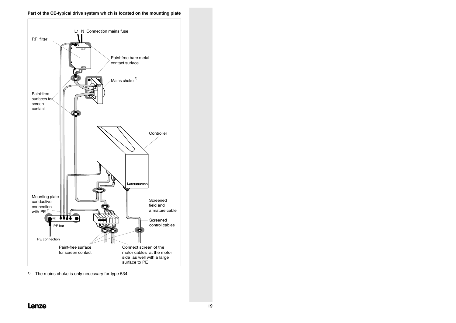#### **Part of the CE-typical drive system which is located on the mounting plate**



1) The mains choke is only necessary for type 534.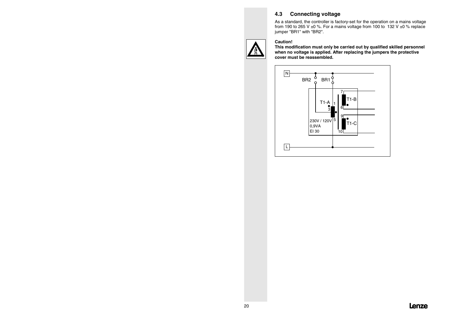## **4.3 Connecting voltage**

As a standard, the controller is factory-set for the operation on a mains voltage from 190 to 265 V  $\pm$ 0 %. For a mains voltage from 100 to 132 V  $\pm$ 0 % replace jumper "BR1" with "BR2".



#### **Caution!**

 **This modification must only be carried out by qualified skilled personnel when no voltage is applied. After replacing the jumpers the protective cover must be reassembled.**

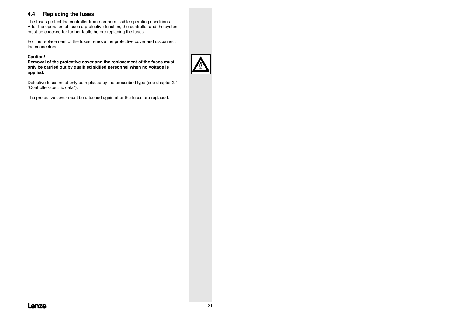## **4.4 Replacing the fuses**

The fuses protect the controller from non-permissible operating conditions. After the operation of such a protective function, the controller and the system must be checked for further faults before replacing the fuses.

For the replacement of the fuses remove the protective cover and disconnect the connectors.

#### **Caution!**

 **Removal of the protective cover and the replacement of the fuses must only be carried out by qualified skilled personnel when no voltage is applied.**

Defective fuses must only be replaced by the prescribed type (see chapter 2.1 "Controller-specific data").

The protective cover must be attached again after the fuses are replaced.

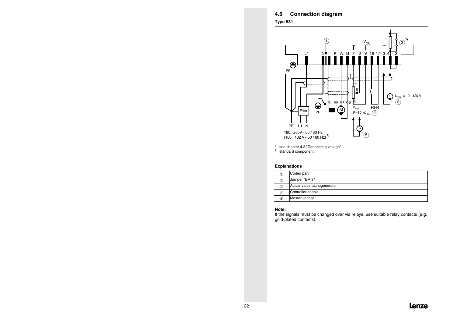### **4.5 Connection diagram**

**Type 531**



1) see chapter 4.3 "Connecting voltage"

2) standard component

#### **Explanations**

| U | Coded part                  |
|---|-----------------------------|
| ② | Jumper "BR 3"               |
| ③ | Actual value tachogenerator |
| ④ | Controller enable           |
| 5 | Master voltage              |

#### **Note:**

 If the signals must be changed over via relays, use suitable relay contacts (e.g. gold-plated contacts).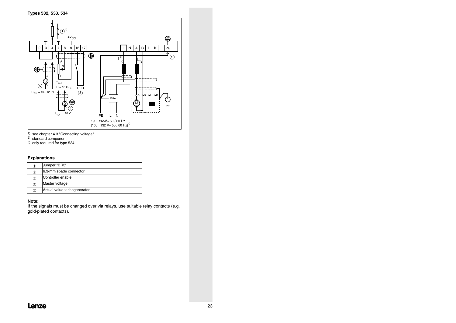

- 1) see chapter 4.3 "Connecting voltage"
- 2) standard component
- 3) only required for type 534

#### **Explanations**

| 1  | Jumper "BR3"                |
|----|-----------------------------|
| 2  | 6.3-mm spade connector      |
| ③  | Controller enable           |
| 4  | Master voltage              |
| σ. | Actual value tachogenerator |

#### **Note:**

 If the signals must be changed over via relays, use suitable relay contacts (e.g. gold-plated contacts).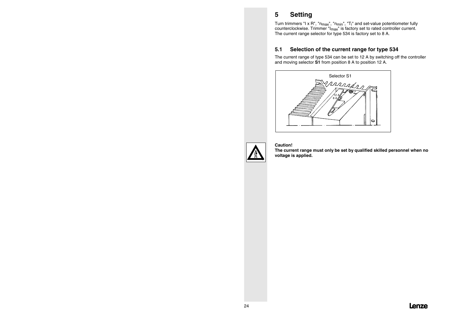# **5 Setting**

Turn trimmers "I x R", "n<sub>max</sub>", "n<sub>min</sub>", "T<sub>i</sub>" and set-value potentiometer fully counterclockwise. Trimmer "Imax" is factory set to rated controller current. The current range selector for type 534 is factory set to 8 A.

### **5.1 Selection of the current range for type 534**

The current range of type 534 can be set to 12 A by switching off the controller and moving selector **S1** from position 8 A to position 12 A.





#### **Caution!**

 **The current range must only be set by qualified skilled personnel when no voltage is applied.**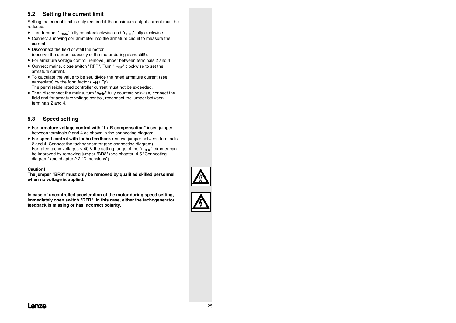## **5.2 Setting the current limit**

Setting the current limit is only required if the maximum output current must be reduced.

- $\bullet$  Turn trimmer "I<sub>max</sub>" fully counterclockwise and "n<sub>min</sub>" fully clockwise.
- Connect a moving coil ammeter into the armature circuit to measure the current.
- Disconnect the field or stall the motor (observe the current capacity of the motor during standstill!).
- For armature voltage control, remove jumper between terminals 2 and 4.
- Connect mains, close switch "RFR". Turn "I<sub>max</sub>" clockwise to set the armature current.
- To calculate the value to be set, divide the rated armature current (see nameplate) by the form factor  $(I_{AN}/F_F)$ . The permissible rated controller current must not be exceeded.
- Then disconnect the mains, turn "n<sub>min</sub>" fully counterclockwise, connect the field and for armature voltage control, reconnect the jumper between terminals 2 and 4.

### **5.3 Speed setting**

- For **armature voltage control with "I x R compensation"** insert jumper between terminals 2 and 4 as shown in the connecting diagram.
- For **speed control with tacho feedback** remove jumper between terminals 2 and 4. Connect the tachogenerator (see connecting diagram). For rated tacho voltages  $> 40$  V the setting range of the " $n_{max}$ " trimmer can be improved by removing jumper "BR3" (see chapter 4.5 "Connecting diagram" and chapter 2.2 "Dimensions").

#### **Caution!**

**The jumper "BR3" must only be removed by qualified skilled personnel when no voltage is applied.**

**In case of uncontrolled acceleration of the motor during speed setting, immediately open switch "RFR". In this case, either the tachogenerator feedback is missing or has incorrect polarity.**



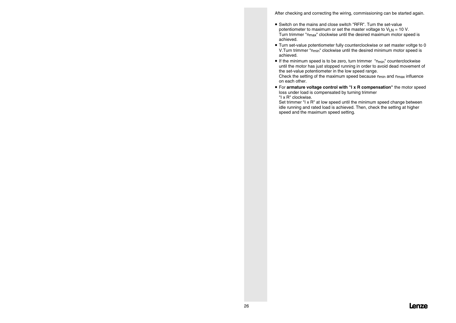After checking and correcting the wiring, commissioning can be started again.

- Switch on the mains and close switch "RFR". Turn the set-valuepotentiometer to maximum or set the master voltage to  $V_{LN} = 10 V$ . Turn trimmer "nmax" clockwise until the desired maximum motor speed is achieved.
- Turn set-value potentiometer fully counterclockwise or set master voltge to 0 V.Turn trimmer "nmin" clockwise until the desired minimum motor speed is achieved.
- $\bullet$  If the minimum speed is to be zero, turn trimmer  $"n_{min}"$  counterclockwise until the motor has just stopped running in order to avoid dead movement of the set-value potentiometer in the low speed range.

Check the setting of the maximum speed because  $n_{min}$  and  $n_{max}$  influence on each other.

• For **armature voltage control with "I x R compensation"** the motor speed loss under load is compensated by turning trimmer "I x R" clockwise.

Set trimmer "I x R" at low speed until the minimum speed change between idle running and rated load is achieved. Then, check the setting at higher speed and the maximum speed setting.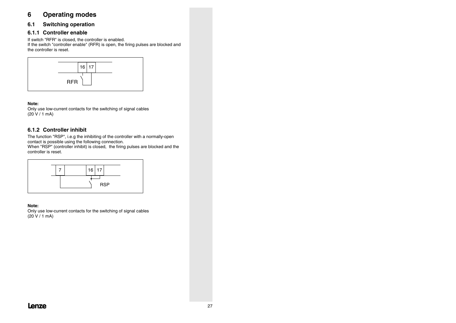## **6 Operating modes**

## **6.1 Switching operation**

## **6.1.1 Controller enable**

If switch "RFR" is closed, the controller is enabled.

If the switch "controller enable" (RFR) is open, the firing pulses are blocked and the controller is reset.



#### **Note:**

Only use low-current contacts for the switching of signal cables  $(20 V / 1 mA)$ 

## **6.1.2 Controller inhibit**

The function "RSP", i.e.g the inhibiting of the controller with a normally-open contact is possible using the following connection.

When "RSP" (controller inhibit) is closed, the firing pulses are blocked and the controller is reset.



#### **Note:**

Only use low-current contacts for the switching of signal cables (20 V / 1 mA)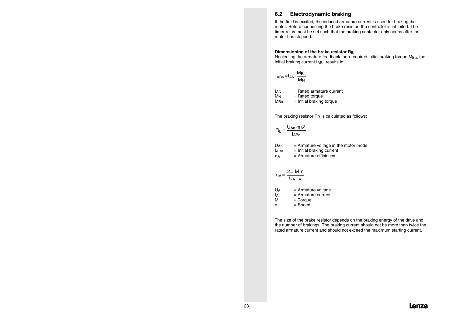### **6.2 Electrodynamic braking**

If the field is excited, the induced armature current is used for braking the motor. Before connecting the brake resistor, the controller is inhibited. The timer relay must be set such that the braking contactor only opens after the motor has stopped.

#### **Dimensioning of the brake resistor RB**

Neglecting the armature feedback for a required initial braking torque M<sub>Ba</sub>, the initial braking current IABa results in:

$$
I_{ABA} = I_{AN} \cdot \frac{M_{Ba}}{M_N}
$$

IAN = Rated armature current MN = Rated torque MBa= Initial braking torque

The braking resistor R<sub>B</sub> is calculated as follows:

$$
R_B\!=\frac{U_{Aa}\!\cdot\!\eta_A{}^2}{I_{A B a}}
$$

| U <sub>Aa</sub> | $=$ Armature voltage in the motor mode |
|-----------------|----------------------------------------|
| <b>IABa</b>     | $=$ Initial braking current            |
| ηA              | $=$ Armature efficiency                |

$$
\eta_A=\frac{2\pi\!\cdot\! M\!\cdot\! n}{U_A\!\cdot\! I_A}
$$

| UA | $=$ Armature voltage |
|----|----------------------|
| lА | $=$ Armature current |
| м  | $=$ Torque           |
| n  | $=$ Speed            |

The size of the brake resistor depends on the braking energy of the drive and the number of brakings. The braking current should not be more than twice the rated armature current and should not exceed the maximum starting current.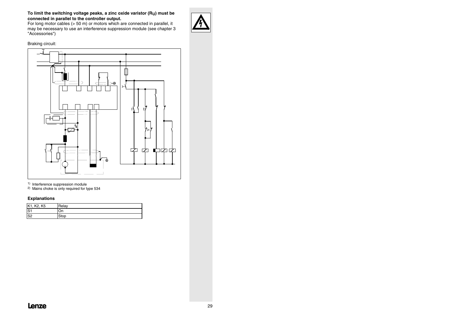#### **To limit the switching voltage peaks, a zinc oxide varistor (RU) must be connected in parallel to the controller output.**

For long motor cables (> 50 m) or motors which are connected in parallel, it may be necessary to use an interference suppression module (see chapter 3 "Accessories")

#### Braking circuit:



1) Interference suppression module

2) Mains choke is only required for type 534

#### **Explanations**

| K1, K2, K5     | Relay  |
|----------------|--------|
| S <sub>1</sub> | On     |
| S <sub>2</sub> | ' 210D |



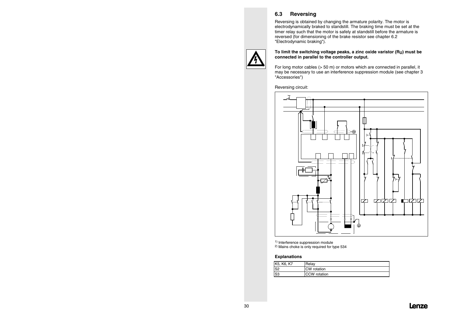## **6.3 Reversing**

Reversing is obtained by changing the armature polarity. The motor is electrodynamically braked to standstill. The braking time must be set at the timer relay such that the motor is safely at standstill before the armature is reversed (for dimensioning of the brake resistor see chapter 6.2 "Electrodynamic braking").



#### **To limit the switching voltage peaks, a zinc oxide varistor (RU) must be connected in parallel to the controller output.**

For long motor cables (> 50 m) or motors which are connected in parallel, it may be necessary to use an interference suppression module (see chapter 3 "Accessories")

Reversing circuit:



1) Interference suppression module

2) Mains choke is only required for type 534

#### **Explanations**

| K5, K6, K7     | Relav        |
|----------------|--------------|
| S <sub>2</sub> | CW rotation  |
| S <sub>3</sub> | CCW rotation |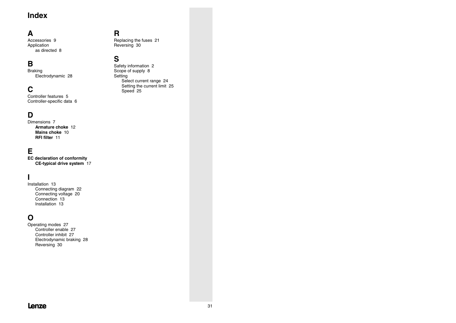# **Index**

# **A**

Accessories 9Application as directed 8

## **B**

Braking Electrodynamic 28

# **C**

Controller features 5Controller-specific data 6

## **D**

Dimensions 7**Armature chokeMains chokeRFI filter**

## **E**

**EC declaration of conformity CE-typical drive system** 17

# **I**

Installation 13 Connecting diagram 22 Connecting voltage 20 Connection 13Installation 13

## **O**

Operating modes 27 Controller enable 27 Controller inhibit 27 Electrodynamic braking 28 Reversing 30

## **R**

Replacing the fuses 21 Reversing 30

## **S**

Safety information 2 Scope of supply 8 **Setting** Select current range 24 Setting the current limit 25 Speed 25